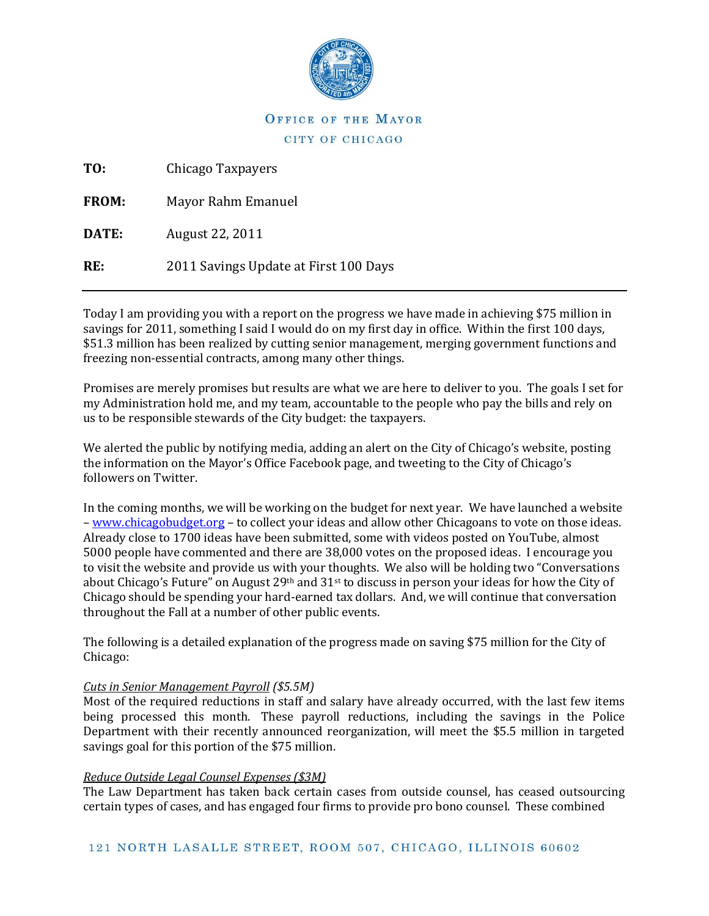

# OFFICE OF THE MAYOR CITY OF CHICAGO

| TO:          | Chicago Taxpayers                     |
|--------------|---------------------------------------|
| <b>FROM:</b> | Mayor Rahm Emanuel                    |
| DATE:        | August 22, 2011                       |
| RE.          | 2011 Savings Update at First 100 Days |
|              |                                       |

Today I am providing you with a report on the progress we have made in achieving \$75 million in savings for 2011, something I said I would do on my first day in office. Within the first 100 days, \$51.3 million has been realized by cutting senior management, merging government functions and freezing non-essential contracts, among many other things.

Promises are merely promises but results are what we are here to deliver to you. The goals I set for my Administration hold me, and my team, accountable to the people who pay the bills and rely on us to be responsible stewards of the City budget: the taxpayers.

We alerted the public by notifying media, adding an alert on the City of Chicago's website, posting the information on the Mayor's Office Facebook page, and tweeting to the City of Chicago's followers on Twitter.

In the coming months, we will be working on the budget for next year. We have launched a website – [www.chicagobudget.org](http://www.chicagobudget.org/) – to collect your ideas and allow other Chicagoans to vote on those ideas. Already close to 1700 ideas have been submitted, some with videos posted on YouTube, almost 5000 people have commented and there are 38,000 votes on the proposed ideas. I encourage you to visit the website and provide us with your thoughts. We also will be holding two "Conversations about Chicago's Future" on August 29<sup>th</sup> and 31<sup>st</sup> to discuss in person your ideas for how the City of Chicago should be spending your hard-earned tax dollars. And, we will continue that conversation throughout the Fall at a number of other public events.

The following is a detailed explanation of the progress made on saving \$75 million for the City of Chicago:

## *Cuts in Senior Management Payroll (\$5.5M)*

Most of the required reductions in staff and salary have already occurred, with the last few items being processed this month. These payroll reductions, including the savings in the Police Department with their recently announced reorganization, will meet the \$5.5 million in targeted savings goal for this portion of the \$75 million.

## *Reduce Outside Legal Counsel Expenses (\$3M)*

The Law Department has taken back certain cases from outside counsel, has ceased outsourcing certain types of cases, and has engaged four firms to provide pro bono counsel. These combined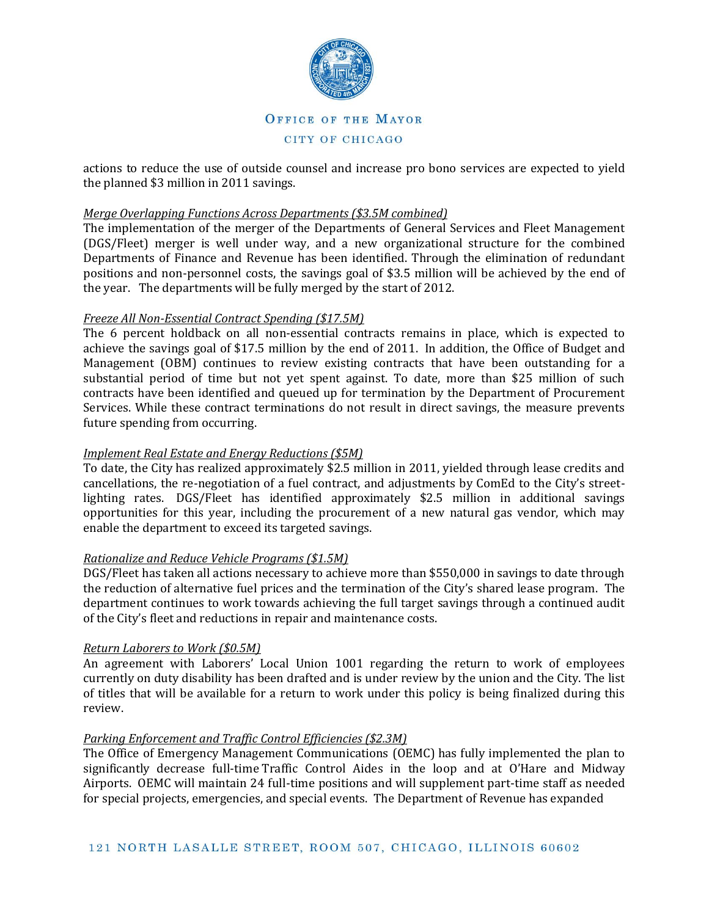

actions to reduce the use of outside counsel and increase pro bono services are expected to yield the planned \$3 million in 2011 savings.

### *Merge Overlapping Functions Across Departments (\$3.5M combined)*

The implementation of the merger of the Departments of General Services and Fleet Management (DGS/Fleet) merger is well under way, and a new organizational structure for the combined Departments of Finance and Revenue has been identified. Through the elimination of redundant positions and non-personnel costs, the savings goal of \$3.5 million will be achieved by the end of the year. The departments will be fully merged by the start of 2012.

### *Freeze All Non-Essential Contract Spending (\$17.5M)*

The 6 percent holdback on all non-essential contracts remains in place, which is expected to achieve the savings goal of \$17.5 million by the end of 2011. In addition, the Office of Budget and Management (OBM) continues to review existing contracts that have been outstanding for a substantial period of time but not yet spent against. To date, more than \$25 million of such contracts have been identified and queued up for termination by the Department of Procurement Services. While these contract terminations do not result in direct savings, the measure prevents future spending from occurring.

## *Implement Real Estate and Energy Reductions (\$5M)*

To date, the City has realized approximately \$2.5 million in 2011, yielded through lease credits and cancellations, the re-negotiation of a fuel contract, and adjustments by ComEd to the City's streetlighting rates. DGS/Fleet has identified approximately \$2.5 million in additional savings opportunities for this year, including the procurement of a new natural gas vendor, which may enable the department to exceed its targeted savings.

#### *Rationalize and Reduce Vehicle Programs (\$1.5M)*

DGS/Fleet has taken all actions necessary to achieve more than \$550,000 in savings to date through the reduction of alternative fuel prices and the termination of the City's shared lease program. The department continues to work towards achieving the full target savings through a continued audit of the City's fleet and reductions in repair and maintenance costs.

#### *Return Laborers to Work (\$0.5M)*

An agreement with Laborers' Local Union 1001 regarding the return to work of employees currently on duty disability has been drafted and is under review by the union and the City. The list of titles that will be available for a return to work under this policy is being finalized during this review.

#### *Parking Enforcement and Traffic Control Efficiencies (\$2.3M)*

The Office of Emergency Management Communications (OEMC) has fully implemented the plan to significantly decrease full-time Traffic Control Aides in the loop and at O'Hare and Midway Airports. OEMC will maintain 24 full-time positions and will supplement part-time staff as needed for special projects, emergencies, and special events. The Department of Revenue has expanded